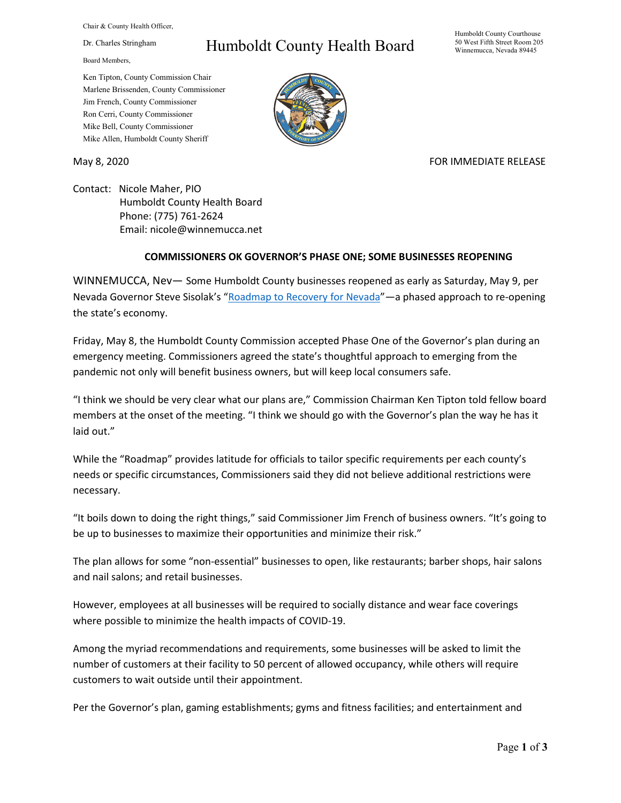Chair & County Health Officer,

Dr. Charles Stringham

Board Members,

## Humboldt County Health Board

Humboldt County Courthouse 50 West Fifth Street Room 205 Winnemucca, Nevada 89445

Ken Tipton, County Commission Chair Marlene Brissenden, County Commissioner Jim French, County Commissioner Ron Cerri, County Commissioner Mike Bell, County Commissioner Mike Allen, Humboldt County Sheriff

May 8, 2020 FOR IMMEDIATE RELEASE

Contact: Nicole Maher, PIO Humboldt County Health Board Phone: (775) 761-2624 Email: nicole@winnemucca.net

## **COMMISSIONERS OK GOVERNOR'S PHASE ONE; SOME BUSINESSES REOPENING**

WINNEMUCCA, Nev— Some Humboldt County businesses reopened as early as Saturday, May 9, per Nevada Governor Steve Sisolak's ["Roadmap to Recovery for Nevada"](https://nvhealthresponse.nv.gov/wp-content/uploads/2020/05/Roadmap-to-Recovery-Phase-One-Initial-Guidance.pdf)—a phased approach to re-opening the state's economy.

Friday, May 8, the Humboldt County Commission accepted Phase One of the Governor's plan during an emergency meeting. Commissioners agreed the state's thoughtful approach to emerging from the pandemic not only will benefit business owners, but will keep local consumers safe.

"I think we should be very clear what our plans are," Commission Chairman Ken Tipton told fellow board members at the onset of the meeting. "I think we should go with the Governor's plan the way he has it laid out."

While the "Roadmap" provides latitude for officials to tailor specific requirements per each county's needs or specific circumstances, Commissioners said they did not believe additional restrictions were necessary.

"It boils down to doing the right things," said Commissioner Jim French of business owners. "It's going to be up to businesses to maximize their opportunities and minimize their risk."

The plan allows for some "non-essential" businesses to open, like restaurants; barber shops, hair salons and nail salons; and retail businesses.

However, employees at all businesses will be required to socially distance and wear face coverings where possible to minimize the health impacts of COVID-19.

Among the myriad recommendations and requirements, some businesses will be asked to limit the number of customers at their facility to 50 percent of allowed occupancy, while others will require customers to wait outside until their appointment.

Per the Governor's plan, gaming establishments; gyms and fitness facilities; and entertainment and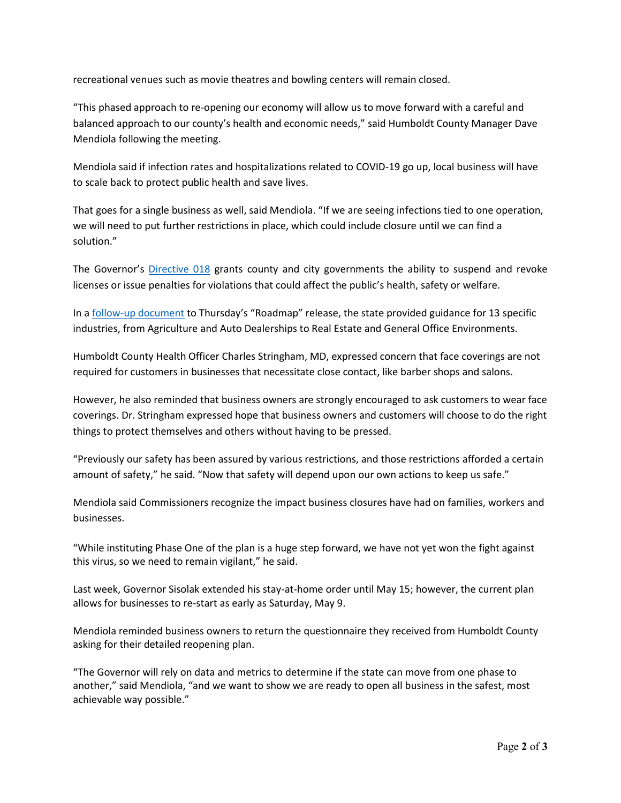recreational venues such as movie theatres and bowling centers will remain closed.

"This phased approach to re-opening our economy will allow us to move forward with a careful and balanced approach to our county's health and economic needs," said Humboldt County Manager Dave Mendiola following the meeting.

Mendiola said if infection rates and hospitalizations related to COVID-19 go up, local business will have to scale back to protect public health and save lives.

That goes for a single business as well, said Mendiola. "If we are seeing infections tied to one operation, we will need to put further restrictions in place, which could include closure until we can find a solution."

The Governor's [Directive 018](https://www.hcnv.us/DocumentCenter/View/4549/Declaration-of-Emergency-Directive-018Phase-1-Reopening5-7-20-1) grants county and city governments the ability to suspend and revoke licenses or issue penalties for violations that could affect the public's health, safety or welfare.

In a [follow-up document](https://nvhealthresponse.nv.gov/wp-content/uploads/2020/05/Industry-specific-Guidance-Documents-1.pdf) to Thursday's "Roadmap" release, the state provided guidance for 13 specific industries, from Agriculture and Auto Dealerships to Real Estate and General Office Environments.

Humboldt County Health Officer Charles Stringham, MD, expressed concern that face coverings are not required for customers in businesses that necessitate close contact, like barber shops and salons.

However, he also reminded that business owners are strongly encouraged to ask customers to wear face coverings. Dr. Stringham expressed hope that business owners and customers will choose to do the right things to protect themselves and others without having to be pressed.

"Previously our safety has been assured by various restrictions, and those restrictions afforded a certain amount of safety," he said. "Now that safety will depend upon our own actions to keep us safe."

Mendiola said Commissioners recognize the impact business closures have had on families, workers and businesses.

"While instituting Phase One of the plan is a huge step forward, we have not yet won the fight against this virus, so we need to remain vigilant," he said.

Last week, Governor Sisolak extended his stay-at-home order until May 15; however, the current plan allows for businesses to re-start as early as Saturday, May 9.

Mendiola reminded business owners to return the questionnaire they received from Humboldt County asking for their detailed reopening plan.

"The Governor will rely on data and metrics to determine if the state can move from one phase to another," said Mendiola, "and we want to show we are ready to open all business in the safest, most achievable way possible."